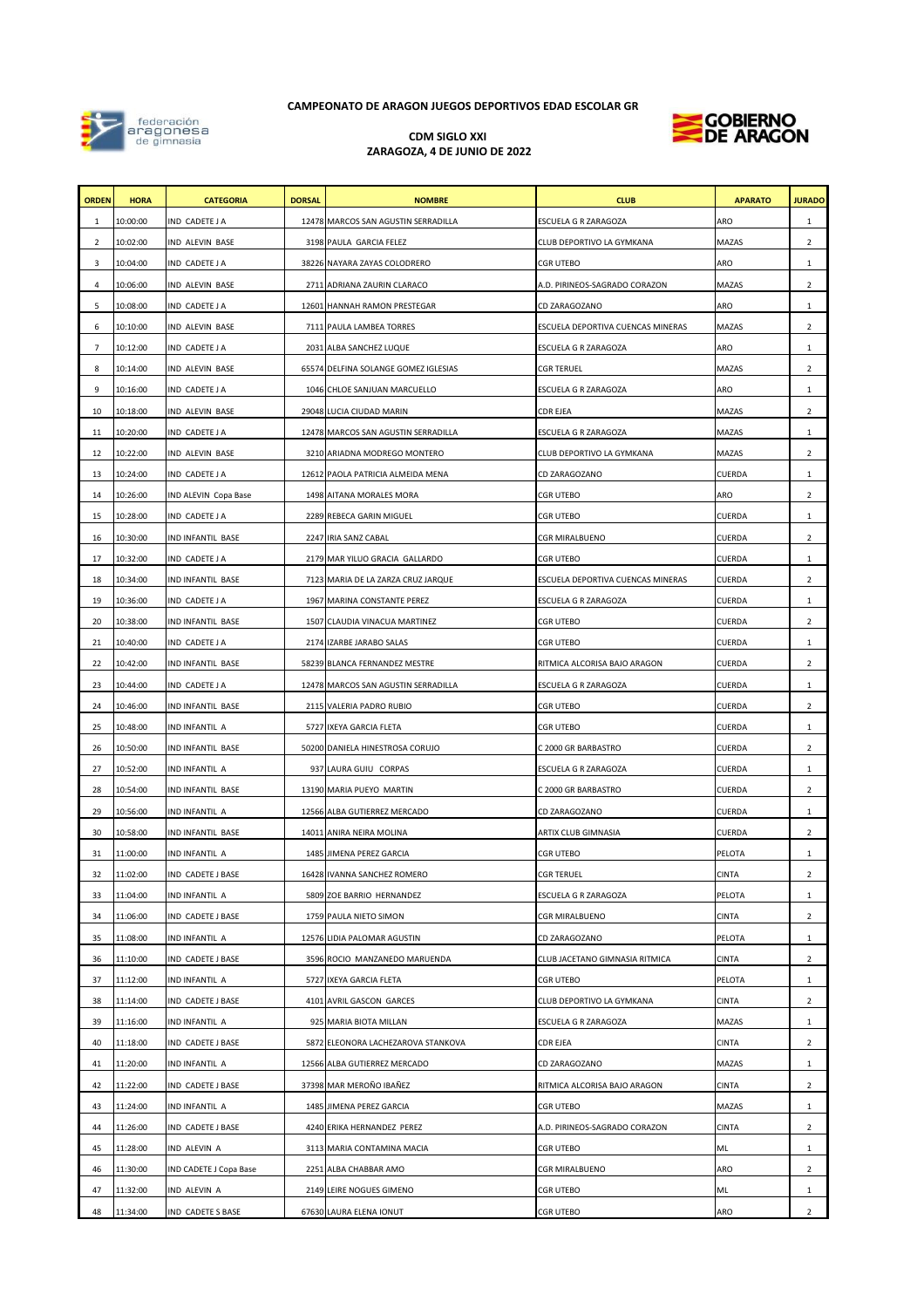## **CDM SIGLO XXI ZARAGOZA, 4 DE JUNIO DE 2022**



| <b>ORDEN</b> | <b>HORA</b> | <b>CATEGORIA</b>            | <b>DORSAL</b> | <b>NOMBRE</b>                        | <b>CLUB</b>                       | <b>APARATO</b> | <b>JURADO</b>  |
|--------------|-------------|-----------------------------|---------------|--------------------------------------|-----------------------------------|----------------|----------------|
| 1            | 10:00:00    | IND CADETE J A              |               | 12478 MARCOS SAN AGUSTIN SERRADILLA  | ESCUELA G R ZARAGOZA              | <b>ARO</b>     | $\mathbf{1}$   |
| 2            | 10:02:00    | IND ALEVIN BASE             |               | 3198 PAULA GARCIA FELEZ              | CLUB DEPORTIVO LA GYMKANA         | <b>MAZAS</b>   | $\overline{2}$ |
| 3            | 10:04:00    | IND CADETE J A              |               | 38226 NAYARA ZAYAS COLODRERO         | <b>CGR UTEBO</b>                  | <b>ARO</b>     | $\mathbf{1}$   |
| 4            | 10:06:00    | IND ALEVIN BASE             |               | 2711 ADRIANA ZAURIN CLARACO          | A.D. PIRINEOS-SAGRADO CORAZON     | MAZAS          | $\overline{2}$ |
| 5            | 10:08:00    | IND CADETE J A              |               | 12601 HANNAH RAMON PRESTEGAR         | CD ZARAGOZANO                     | <b>ARO</b>     | $\mathbf{1}$   |
| 6            | 10:10:00    | IND ALEVIN BASE             |               | 7111 PAULA LAMBEA TORRES             | ESCUELA DEPORTIVA CUENCAS MINERAS | <b>MAZAS</b>   | $\overline{2}$ |
| 7            | 10:12:00    | IND CADETE J A              |               | 2031 ALBA SANCHEZ LUQUE              | ESCUELA G R ZARAGOZA              | <b>ARO</b>     | 1              |
| 8            | 10:14:00    | IND ALEVIN BASE             |               | 65574 DELFINA SOLANGE GOMEZ IGLESIAS | <b>CGR TERUEL</b>                 | <b>MAZAS</b>   | $\overline{2}$ |
| 9            | 10:16:00    | IND CADETE J A              |               | 1046 CHLOE SANJUAN MARCUELLO         | ESCUELA G R ZARAGOZA              | <b>ARO</b>     | $\mathbf{1}$   |
| 10           | 10:18:00    | IND ALEVIN BASE             |               | 29048 LUCIA CIUDAD MARIN             | CDR EJEA                          | <b>MAZAS</b>   | $\overline{2}$ |
| 11           | 10:20:00    | IND CADETE J A              |               | 12478 MARCOS SAN AGUSTIN SERRADILLA  | ESCUELA G R ZARAGOZA              | MAZAS          | $\mathbf{1}$   |
| 12           | 10:22:00    | IND ALEVIN BASE             |               | 3210 ARIADNA MODREGO MONTERO         | CLUB DEPORTIVO LA GYMKANA         | MAZAS          | $\overline{2}$ |
| 13           | 10:24:00    | IND CADETE J A              |               | 12612 PAOLA PATRICIA ALMEIDA MENA    | CD ZARAGOZANO                     | <b>CUERDA</b>  | $\mathbf{1}$   |
| 14           | 10:26:00    | <b>IND ALEVIN Copa Base</b> |               | 1498 AITANA MORALES MORA             | <b>CGR UTEBO</b>                  | <b>ARO</b>     | $\overline{2}$ |
| 15           | 10:28:00    | IND CADETE J A              |               | 2289 REBECA GARIN MIGUEL             | <b>CGR UTEBO</b>                  | <b>CUERDA</b>  | $\mathbf{1}$   |
| 16           | 10:30:00    | IND INFANTIL BASE           |               | 2247 IRIA SANZ CABAL                 | CGR MIRALBUENO                    | <b>CUERDA</b>  | $\overline{2}$ |
| 17           | 10:32:00    | IND CADETE J A              |               | 2179 MAR YILUO GRACIA GALLARDO       | <b>CGR UTEBO</b>                  | <b>CUERDA</b>  | $\mathbf{1}$   |
| 18           | 10:34:00    | IND INFANTIL BASE           |               | 7123 MARIA DE LA ZARZA CRUZ JARQUE   | ESCUELA DEPORTIVA CUENCAS MINERAS | CUERDA         | $\overline{2}$ |
| 19           | 10:36:00    | IND CADETE J A              |               | 1967 MARINA CONSTANTE PEREZ          | ESCUELA G R ZARAGOZA              | CUERDA         | $\mathbf{1}$   |
| 20           | 10:38:00    | IND INFANTIL BASE           |               | 1507 CLAUDIA VINACUA MARTINEZ        | <b>CGR UTEBO</b>                  | <b>CUERDA</b>  | $\overline{2}$ |
| 21           | 10:40:00    | IND CADETE J A              |               | 2174 IZARBE JARABO SALAS             | <b>CGR UTEBO</b>                  | <b>CUERDA</b>  | 1              |
| 22           | 10:42:00    | IND INFANTIL BASE           |               | 58239 BLANCA FERNANDEZ MESTRE        | RITMICA ALCORISA BAJO ARAGON      | CUERDA         | $\overline{2}$ |
| 23           | 10:44:00    | IND CADETE J A              |               | 12478 MARCOS SAN AGUSTIN SERRADILLA  | ESCUELA G R ZARAGOZA              | <b>CUERDA</b>  | $\mathbf{1}$   |
| 24           | 10:46:00    | IND INFANTIL BASE           |               | 2115 VALERIA PADRO RUBIO             | <b>CGR UTEBO</b>                  | <b>CUERDA</b>  | $\overline{2}$ |
| 25           | 10:48:00    | IND INFANTIL A              |               | 5727 IXEYA GARCIA FLETA              | CGR UTEBO                         | <b>CUERDA</b>  | $\mathbf{1}$   |
| 26           | 10:50:00    | IND INFANTIL BASE           |               | 50200 DANIELA HINESTROSA CORUJO      | C 2000 GR BARBASTRO               | CUERDA         | $\overline{2}$ |
| 27           | 10:52:00    | IND INFANTIL A              |               | 937 LAURA GUIU CORPAS                | ESCUELA G R ZARAGOZA              | <b>CUERDA</b>  | $\mathbf{1}$   |
| 28           | 10:54:00    | IND INFANTIL BASE           |               | 13190 MARIA PUEYO MARTIN             | C 2000 GR BARBASTRO               | <b>CUERDA</b>  | $\overline{2}$ |
| 29           | 10:56:00    | IND INFANTIL A              |               | 12566 ALBA GUTIERREZ MERCADO         | CD ZARAGOZANO                     | <b>CUERDA</b>  | $\mathbf{1}$   |
| 30           | 10:58:00    | IND INFANTIL BASE           |               | 14011 ANIRA NEIRA MOLINA             | ARTIX CLUB GIMNASIA               | <b>CUERDA</b>  | $\mathbf{2}$   |
| 31           | 11:00:00    | IND INFANTIL A              |               | 1485 JIMENA PEREZ GARCIA             | <b>CGR UTEBO</b>                  | <b>PELOTA</b>  | $\mathbf{1}$   |
| 32           | 11:02:00    | IND CADETE J BASE           |               | 16428 IVANNA SANCHEZ ROMERO          | <b>CGR TERUEL</b>                 | <b>CINTA</b>   | $\overline{2}$ |
| 33           | 11:04:00    | IND INFANTIL A              |               | 5809 ZOE BARRIO HERNANDEZ            | ESCUELA G R ZARAGOZA              | PELOTA         | 1              |
| 34           | 11:06:00    | IND CADETE J BASE           |               | 1759 PAULA NIETO SIMON               | <b>CGR MIRALBUENO</b>             | <b>CINTA</b>   | $\mathbf{2}$   |
| 35           | 11:08:00    | IND INFANTIL A              |               | 12576 LIDIA PALOMAR AGUSTIN          | CD ZARAGOZANO                     | <b>PELOTA</b>  | $\mathbf{1}$   |
| 36           | 11:10:00    | IND CADETE J BASE           |               | 3596 ROCIO MANZANEDO MARUENDA        | CLUB JACETANO GIMNASIA RITMICA    | <b>CINTA</b>   | $\overline{2}$ |
| 37           | 11:12:00    | IND INFANTIL A              |               | 5727 IXEYA GARCIA FLETA              | CGR UTEBO                         | <b>PELOTA</b>  | 1              |
| 38           | 11:14:00    | IND CADETE J BASE           |               | 4101 AVRIL GASCON GARCES             | CLUB DEPORTIVO LA GYMKANA         | <b>CINTA</b>   | $\overline{2}$ |

| 39 | 11:16:00 | <b>IND INFANTIL A</b>         | 925 MARIA BIOTA MILLAN             | <b>ESCUELA G R ZARAGOZA</b>   | <b>MAZAS</b> |                |
|----|----------|-------------------------------|------------------------------------|-------------------------------|--------------|----------------|
| 40 | 11:18:00 | IND CADETE J BASE             | 5872 ELEONORA LACHEZAROVA STANKOVA | <b>CDR EJEA</b>               | <b>CINTA</b> | $\mathbf{2}$   |
| 41 | 11:20:00 | <b>IND INFANTIL A</b>         | 12566 ALBA GUTIERREZ MERCADO       | CD ZARAGOZANO                 | <b>MAZAS</b> |                |
| 42 | 11:22:00 | IND CADETE J BASE             | 37398 MAR MEROÑO IBAÑEZ            | RITMICA ALCORISA BAJO ARAGON  | <b>CINTA</b> | $\overline{2}$ |
| 43 | 11:24:00 | <b>IND INFANTIL A</b>         | 1485 JIMENA PEREZ GARCIA           | <b>CGR UTEBO</b>              | <b>MAZAS</b> |                |
| 44 | 11:26:00 | IND CADETE J BASE             | 4240 ERIKA HERNANDEZ PEREZ         | A.D. PIRINEOS-SAGRADO CORAZON | <b>CINTA</b> | $\overline{2}$ |
| 45 | 11:28:00 | <b>IND ALEVIN A</b>           | 3113 MARIA CONTAMINA MACIA         | <b>CGR UTEBO</b>              | ML           |                |
| 46 | 11:30:00 | <b>IND CADETE J Copa Base</b> | 2251 ALBA CHABBAR AMO              | <b>CGR MIRALBUENO</b>         | ARO          | $\overline{2}$ |
| 47 | 11:32:00 | IND ALEVIN A                  | 2149 LEIRE NOGUES GIMENO           | <b>CGR UTEBO</b>              | ML           |                |
| 48 | 11:34:00 | <b>IND CADETE S BASE</b>      | 67630 LAURA ELENA IONUT            | <b>CGR UTEBO</b>              | ARO          |                |

**CAMPEONATO DE ARAGON JUEGOS DEPORTIVOS EDAD ESCOLAR GR**

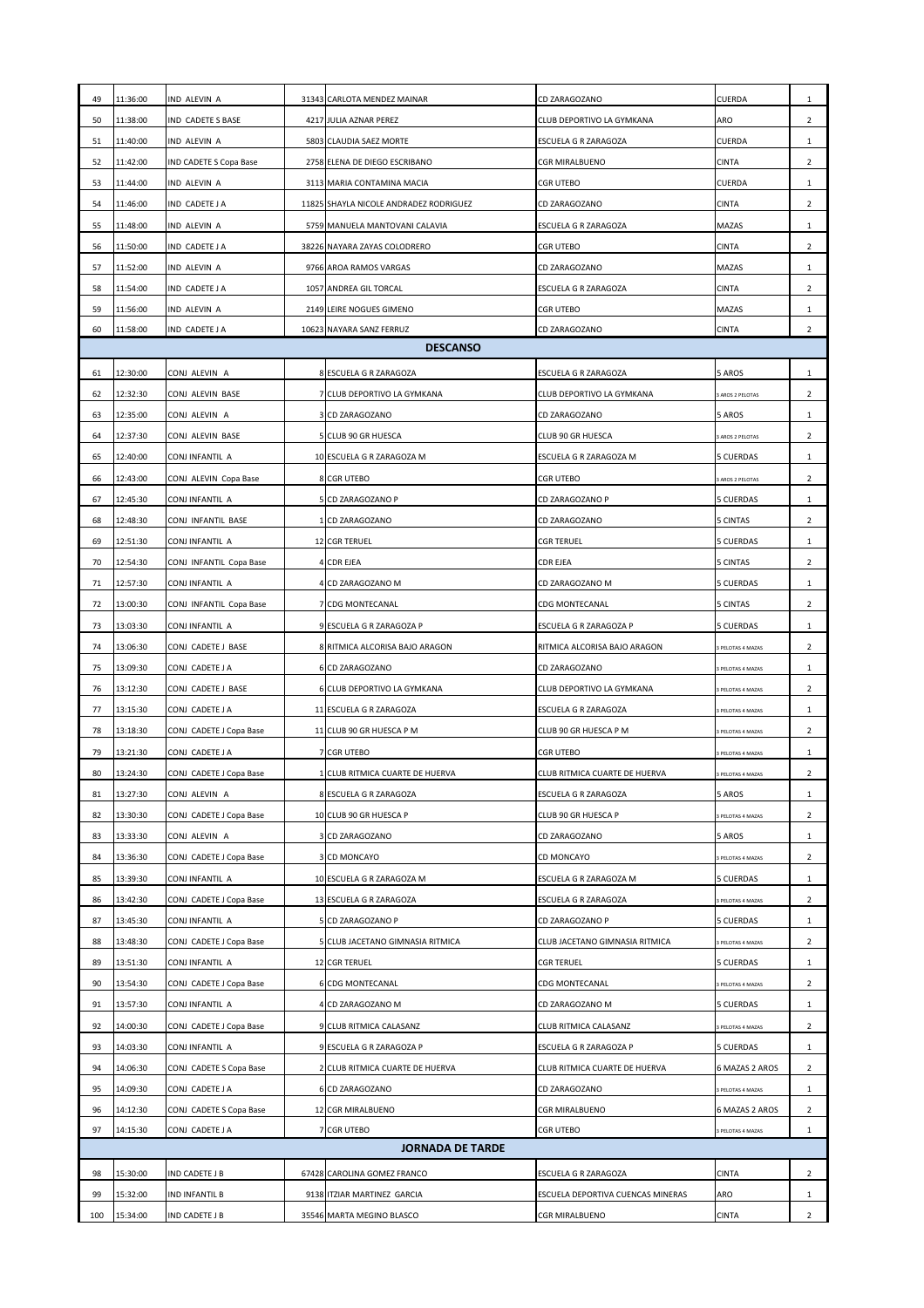| 49       | 11:36:00                | IND ALEVIN A                               |  | 31343 CARLOTA MENDEZ MAINAR            | CD ZARAGOZANO                                   | <b>CUERDA</b>                                | $\mathbf{1}$                   |  |
|----------|-------------------------|--------------------------------------------|--|----------------------------------------|-------------------------------------------------|----------------------------------------------|--------------------------------|--|
| 50       | 11:38:00                | IND CADETE S BASE                          |  | 4217 JULIA AZNAR PEREZ                 | CLUB DEPORTIVO LA GYMKANA                       | ARO                                          | $\overline{2}$                 |  |
| 51       | 11:40:00                | IND ALEVIN A                               |  | 5803 CLAUDIA SAEZ MORTE                | <b>ESCUELA G R ZARAGOZA</b>                     | <b>CUERDA</b>                                | $\mathbf{1}$                   |  |
| 52       | 11:42:00                | <b>IND CADETE S Copa Base</b>              |  | 2758 ELENA DE DIEGO ESCRIBANO          | <b>CGR MIRALBUENO</b>                           | <b>CINTA</b>                                 | $\overline{2}$                 |  |
| 53       | 11:44:00                | IND ALEVIN A                               |  | 3113 MARIA CONTAMINA MACIA             | <b>CGR UTEBO</b>                                | <b>CUERDA</b>                                | $\mathbf{1}$                   |  |
| 54       | 11:46:00                | IND CADETE J A                             |  | 11825 SHAYLA NICOLE ANDRADEZ RODRIGUEZ | CD ZARAGOZANO                                   | <b>CINTA</b>                                 | $\overline{2}$                 |  |
| 55       | 11:48:00                | IND ALEVIN A                               |  | 5759 MANUELA MANTOVANI CALAVIA         | ESCUELA G R ZARAGOZA                            | <b>MAZAS</b>                                 | 1                              |  |
| 56       | 11:50:00                | IND CADETE J A                             |  | 38226 NAYARA ZAYAS COLODRERO           | CGR UTEBO                                       | <b>CINTA</b>                                 | $\overline{2}$                 |  |
| 57       | 11:52:00                | IND ALEVIN A                               |  | 9766 AROA RAMOS VARGAS                 | CD ZARAGOZANO                                   | <b>MAZAS</b>                                 | $\mathbf{1}$                   |  |
| 58       | 11:54:00                | IND CADETE J A                             |  | 1057 ANDREA GIL TORCAL                 | <b>ESCUELA G R ZARAGOZA</b>                     | <b>CINTA</b>                                 | $\overline{2}$                 |  |
| 59       | 11:56:00                | IND ALEVIN A                               |  | 2149 LEIRE NOGUES GIMENO               | CGR UTEBO                                       | MAZAS                                        | $\mathbf{1}$                   |  |
| 60       | 11:58:00                | IND CADETE J A                             |  | 10623 NAYARA SANZ FERRUZ               | CD ZARAGOZANO                                   | <b>CINTA</b>                                 | $\overline{2}$                 |  |
|          |                         |                                            |  | <b>DESCANSO</b>                        |                                                 |                                              |                                |  |
| 61       | 12:30:00                | CONJ ALEVIN A                              |  | 8 ESCUELA G R ZARAGOZA                 | ESCUELA G R ZARAGOZA                            | 5 AROS                                       | $\mathbf{1}$                   |  |
| 62       | 12:32:30                | CONJ ALEVIN BASE                           |  | 7 CLUB DEPORTIVO LA GYMKANA            | CLUB DEPORTIVO LA GYMKANA                       | 3 AROS 2 PELOTAS                             | $\overline{2}$                 |  |
| 63       | 12:35:00                | CONJ ALEVIN A                              |  | 3 CD ZARAGOZANO                        | CD ZARAGOZANO                                   | 5 AROS                                       | $\mathbf{1}$                   |  |
| 64       | 12:37:30                | CONJ ALEVIN BASE                           |  | 5 CLUB 90 GR HUESCA                    | CLUB 90 GR HUESCA                               | <b>BAROS 2 PELOTAS</b>                       | $\overline{2}$                 |  |
| 65       | 12:40:00                | CONJ INFANTIL A                            |  | 10 ESCUELA G R ZARAGOZA M              | ESCUELA G R ZARAGOZA M                          | 5 CUERDAS                                    | $\mathbf{1}$                   |  |
| 66       | 12:43:00                | CONJ ALEVIN Copa Base                      |  | 8 CGR UTEBO                            | <b>CGR UTEBO</b>                                | <b>BAROS 2 PELOTAS</b>                       | $\overline{2}$                 |  |
| 67       | 12:45:30                | CONJ INFANTIL A                            |  | 5 CD ZARAGOZANO P                      | CD ZARAGOZANO P                                 | <b>5 CUERDAS</b>                             | $\mathbf{1}$                   |  |
| 68       | 12:48:30                | CONJ INFANTIL BASE                         |  | 1 CD ZARAGOZANO                        | CD ZARAGOZANO                                   | <b>5 CINTAS</b>                              | $\overline{2}$                 |  |
| 69       | 12:51:30                | CONJ INFANTIL A                            |  | <b>12 CGR TERUEL</b>                   | <b>CGR TERUEL</b>                               | <b>5 CUERDAS</b>                             | 1                              |  |
| 70       | 12:54:30                | CONJ INFANTIL Copa Base                    |  | 4 CDR EJEA                             | <b>CDR EJEA</b>                                 | 5 CINTAS                                     | $\overline{2}$                 |  |
| 71       | 12:57:30                | CONJ INFANTIL A                            |  | 4 CD ZARAGOZANO M                      | CD ZARAGOZANO M                                 | <b>5 CUERDAS</b>                             | $\mathbf{1}$                   |  |
| 72       | 13:00:30                | CONJ INFANTIL Copa Base                    |  | <b>CDG MONTECANAL</b>                  | CDG MONTECANAL                                  | 5 CINTAS                                     | $\overline{2}$                 |  |
| 73       | 13:03:30                | CONJ INFANTIL A                            |  | 9 ESCUELA G R ZARAGOZA P               | ESCUELA G R ZARAGOZA P                          | <b>5 CUERDAS</b>                             | $\mathbf{1}$                   |  |
| 74       | 13:06:30                | CONJ CADETE J BASE                         |  | 8 RITMICA ALCORISA BAJO ARAGON         | RITMICA ALCORISA BAJO ARAGON                    | <b>B PELOTAS 4 MAZAS</b>                     | $\overline{2}$                 |  |
| 75       | 13:09:30                | CONJ CADETE J A                            |  | 6 CD ZARAGOZANO                        | CD ZARAGOZANO                                   | 3 PELOTAS 4 MAZAS                            | $\mathbf{1}$                   |  |
| 76       | 13:12:30                | CONJ CADETE J BASE                         |  | 6 CLUB DEPORTIVO LA GYMKANA            | CLUB DEPORTIVO LA GYMKANA                       | <b>B PELOTAS 4 MAZAS</b>                     | $\overline{2}$                 |  |
| 77       | 13:15:30                | CONJ CADETE J A                            |  | 11 ESCUELA G R ZARAGOZA                | ESCUELA G R ZARAGOZA                            | <b>B PELOTAS 4 MAZAS</b>                     | $\mathbf{1}$                   |  |
| 78       | 13:18:30                | CONJ CADETE J Copa Base                    |  | 11 CLUB 90 GR HUESCA P M               | CLUB 90 GR HUESCA P M                           | <b>PELOTAS 4 MAZAS</b>                       | $\overline{2}$                 |  |
| 79       | 13:21:30                | CONJ CADETE J A                            |  | 7 CGR UTEBO                            | <b>CGR UTEBO</b>                                | <b>B PELOTAS 4 MAZAS</b>                     | $\mathbf{1}$                   |  |
| 80       | 13:24:30                | CONJ CADETE J Copa Base                    |  | CLUB RITMICA CUARTE DE HUERVA          | CLUB RITMICA CUARTE DE HUERVA                   | 3 PELOTAS 4 MAZAS                            | $\overline{2}$                 |  |
| 81       | 13:27:30                | CONJ ALEVIN A                              |  | 8 ESCUELA G R ZARAGOZA                 | ESCUELA G R ZARAGOZA                            | 5 AROS                                       | $\mathbf{1}$                   |  |
| 82       | 13:30:30                | CONJ CADETE J Copa Base                    |  | 10 CLUB 90 GR HUESCA P                 | CLUB 90 GR HUESCA P                             | 3 PELOTAS 4 MAZAS                            | $\overline{2}$                 |  |
| 83       | 13:33:30                | CONJ ALEVIN A                              |  | 3 CD ZARAGOZANO                        | CD ZARAGOZANO                                   | 5 AROS                                       | $\mathbf{1}$                   |  |
| 84       | 13:36:30                | CONJ CADETE J Copa Base                    |  | 3 CD MONCAYO                           | <b>CD MONCAYO</b>                               | <b>B PELOTAS 4 MAZAS</b>                     | $\mathbf{2}$                   |  |
| 85       | 13:39:30                | CONJ INFANTIL A                            |  | 10 ESCUELA G R ZARAGOZA M              | ESCUELA G R ZARAGOZA M                          | 5 CUERDAS                                    | $\mathbf{1}$                   |  |
| 86       | 13:42:30                | CONJ CADETE J Copa Base                    |  | 13 ESCUELA G R ZARAGOZA                | ESCUELA G R ZARAGOZA                            | <b>B PELOTAS 4 MAZAS</b>                     | $\overline{2}$                 |  |
| 87       | 13:45:30                | CONJ INFANTIL A                            |  | 5 CD ZARAGOZANO P                      | CD ZARAGOZANO P                                 | <b>5 CUERDAS</b>                             | $\mathbf{1}$                   |  |
| 88       | 13:48:30                | CONJ CADETE J Copa Base                    |  | 5 CLUB JACETANO GIMNASIA RITMICA       | CLUB JACETANO GIMNASIA RITMICA                  | <b>B PELOTAS 4 MAZAS</b>                     | $\overline{2}$                 |  |
| 89       | 13:51:30                | CONJ INFANTIL A                            |  | 12 CGR TERUEL                          | <b>CGR TERUEL</b>                               | <b>5 CUERDAS</b>                             | $\mathbf{1}$                   |  |
| 90       | 13:54:30                | CONJ CADETE J Copa Base                    |  | <b>6 CDG MONTECANAL</b>                | <b>CDG MONTECANAL</b>                           | <b>B PELOTAS 4 MAZAS</b>                     | $\overline{2}$                 |  |
| 91       | 13:57:30                |                                            |  | 4 CD ZARAGOZANO M                      |                                                 | <b>5 CUERDAS</b>                             |                                |  |
| 92       | 14:00:30                | CONJ INFANTIL A                            |  | 9 CLUB RITMICA CALASANZ                | CD ZARAGOZANO M                                 |                                              | $\mathbf{1}$                   |  |
| 93       | 14:03:30                | CONJ CADETE J Copa Base<br>CONJ INFANTIL A |  | 9 ESCUELA G R ZARAGOZA P               | CLUB RITMICA CALASANZ<br>ESCUELA G R ZARAGOZA P | <b>B PELOTAS 4 MAZAS</b><br><b>5 CUERDAS</b> | $\overline{2}$                 |  |
| 94       | 14:06:30                |                                            |  | 2 CLUB RITMICA CUARTE DE HUERVA        | CLUB RITMICA CUARTE DE HUERVA                   | 6 MAZAS 2 AROS                               | $\mathbf{1}$<br>$\overline{2}$ |  |
|          | 14:09:30                | CONJ CADETE S Copa Base                    |  |                                        |                                                 |                                              |                                |  |
| 95       |                         | CONJ CADETE J A                            |  | 6 CD ZARAGOZANO                        | CD ZARAGOZANO                                   | <b>B PELOTAS 4 MAZAS</b>                     | $\mathbf{1}$                   |  |
| 96<br>97 | 14:12:30<br>14:15:30    | CONJ CADETE S Copa Base<br>CONJ CADETE J A |  | 12 CGR MIRALBUENO<br>7 CGR UTEBO       | <b>CGR MIRALBUENO</b><br><b>CGR UTEBO</b>       | 6 MAZAS 2 AROS<br>3 PELOTAS 4 MAZAS          | $\overline{2}$<br>$\mathbf{1}$ |  |
|          | <b>JORNADA DE TARDE</b> |                                            |  |                                        |                                                 |                                              |                                |  |
|          |                         |                                            |  |                                        |                                                 |                                              |                                |  |
| 98       | 15:30:00                | <b>IND CADETE J B</b>                      |  | 67428 CAROLINA GOMEZ FRANCO            | ESCUELA G R ZARAGOZA                            | <b>CINTA</b>                                 | $\overline{2}$                 |  |
| 99       | 15:32:00                | <b>IND INFANTIL B</b>                      |  | 9138 ITZIAR MARTINEZ GARCIA            | ESCUELA DEPORTIVA CUENCAS MINERAS               | ARO                                          | $\mathbf{1}$                   |  |
| 100      | 15:34:00                | <b>IND CADETE J B</b>                      |  | 35546 MARTA MEGINO BLASCO              | <b>CGR MIRALBUENO</b>                           | <b>CINTA</b>                                 | $\overline{2}$                 |  |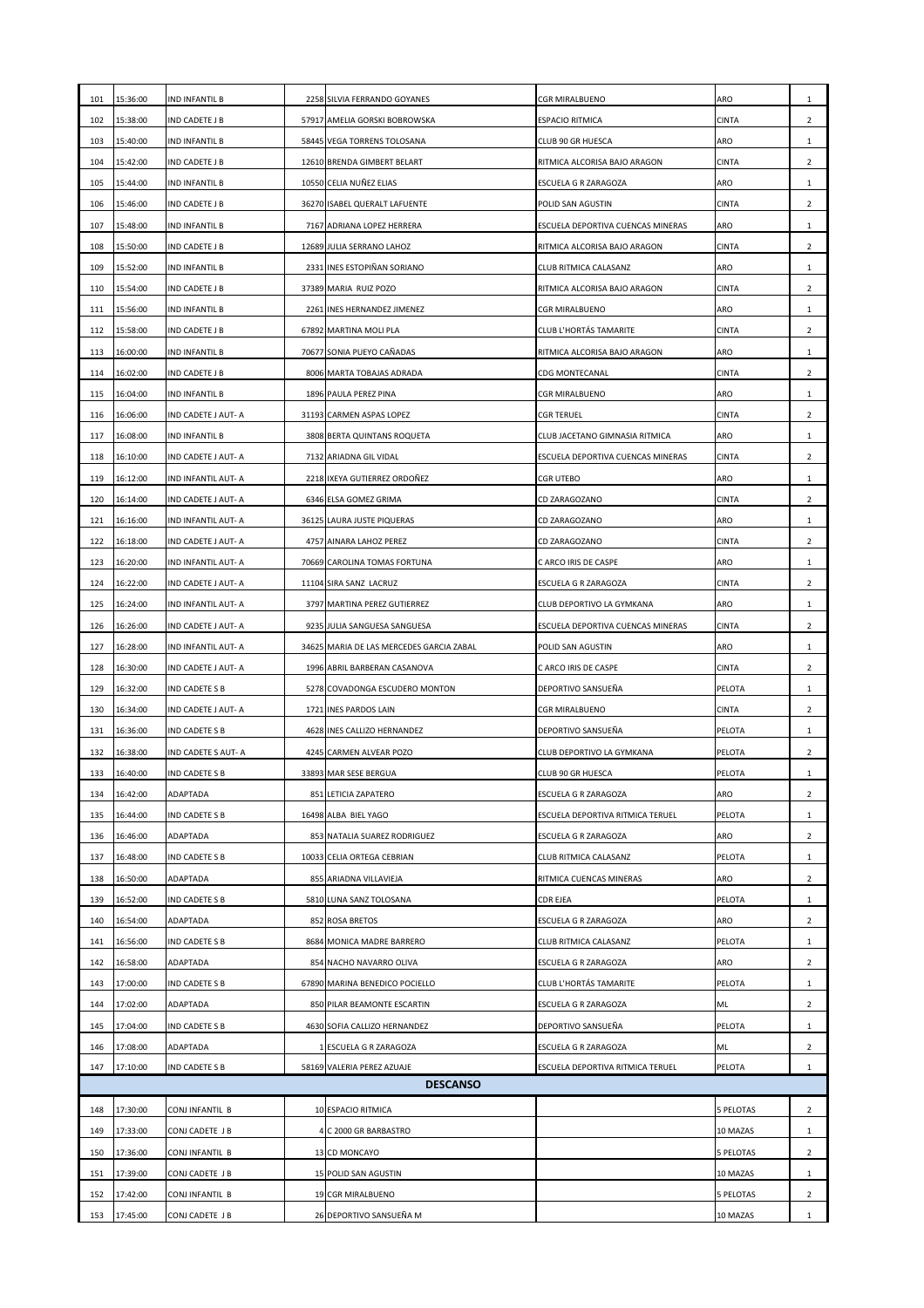| 101        | 15:36:00                                                                                                                                         | <b>IND INFANTIL B</b>             |  | 2258 SILVIA FERRANDO GOYANES              | <b>CGR MIRALBUENO</b>             | ARO                          | $\mathbf{1}$                   |  |  |
|------------|--------------------------------------------------------------------------------------------------------------------------------------------------|-----------------------------------|--|-------------------------------------------|-----------------------------------|------------------------------|--------------------------------|--|--|
| 102        | 15:38:00                                                                                                                                         | IND CADETE J B                    |  | 57917 AMELIA GORSKI BOBROWSKA             | <b>ESPACIO RITMICA</b>            | <b>CINTA</b>                 | $\overline{2}$                 |  |  |
| 103        | 15:40:00                                                                                                                                         | <b>IND INFANTIL B</b>             |  | 58445 VEGA TORRENS TOLOSANA               | CLUB 90 GR HUESCA                 | ARO                          | $\mathbf{1}$                   |  |  |
| 104        | 15:42:00                                                                                                                                         | IND CADETE J B                    |  | 12610 BRENDA GIMBERT BELART               | RITMICA ALCORISA BAJO ARAGON      | <b>CINTA</b>                 | $\overline{2}$                 |  |  |
| 105        | 15:44:00                                                                                                                                         | <b>IND INFANTIL B</b>             |  | 10550 CELIA NUÑEZ ELIAS                   | ESCUELA G R ZARAGOZA              | ARO                          | $\mathbf{1}$                   |  |  |
| 106        | 15:46:00                                                                                                                                         | IND CADETE J B                    |  | 36270 ISABEL QUERALT LAFUENTE             | POLID SAN AGUSTIN                 | <b>CINTA</b>                 | $\overline{2}$                 |  |  |
| 107        | 15:48:00                                                                                                                                         | IND INFANTIL B                    |  | 7167 ADRIANA LOPEZ HERRERA                | ESCUELA DEPORTIVA CUENCAS MINERAS | <b>ARO</b>                   | $\mathbf{1}$                   |  |  |
| 108        | 15:50:00                                                                                                                                         | IND CADETE J B                    |  | 12689 JULIA SERRANO LAHOZ                 | RITMICA ALCORISA BAJO ARAGON      | <b>CINTA</b>                 | $\overline{2}$                 |  |  |
| 109        | 15:52:00                                                                                                                                         | IND INFANTIL B                    |  | 2331 INES ESTOPIÑAN SORIANO               | CLUB RITMICA CALASANZ             | ARO                          | $\mathbf{1}$                   |  |  |
| 110        | 15:54:00                                                                                                                                         | IND CADETE J B                    |  | 37389 MARIA RUIZ POZO                     | RITMICA ALCORISA BAJO ARAGON      | <b>CINTA</b>                 | $\overline{2}$                 |  |  |
| 111        | 15:56:00                                                                                                                                         | IND INFANTIL B                    |  | 2261 INES HERNANDEZ JIMENEZ               | <b>CGR MIRALBUENO</b>             | <b>ARO</b>                   | $\mathbf{1}$                   |  |  |
| 112        | 15:58:00                                                                                                                                         | <b>IND CADETE J B</b>             |  | 67892 MARTINA MOLI PLA                    | <b>CLUB L'HORTÁS TAMARITE</b>     | <b>CINTA</b>                 | $\overline{2}$                 |  |  |
| 113        | 16:00:00                                                                                                                                         | <b>IND INFANTIL B</b>             |  | 70677 SONIA PUEYO CAÑADAS                 | RITMICA ALCORISA BAJO ARAGON      | <b>ARO</b>                   | $\mathbf{1}$                   |  |  |
| 114        | 16:02:00                                                                                                                                         | IND CADETE J B                    |  | 8006 MARTA TOBAJAS ADRADA                 | <b>CDG MONTECANAL</b>             | <b>CINTA</b>                 | $\overline{2}$                 |  |  |
| 115        | 16:04:00                                                                                                                                         | <b>IND INFANTIL B</b>             |  | 1896 PAULA PEREZ PINA                     | <b>CGR MIRALBUENO</b>             | ARO                          | 1                              |  |  |
| 116        | 16:06:00                                                                                                                                         | IND CADETE J AUT- A               |  | 31193 CARMEN ASPAS LOPEZ                  | <b>CGR TERUEL</b>                 | <b>CINTA</b>                 | $\overline{2}$                 |  |  |
| 117        | 16:08:00                                                                                                                                         | IND INFANTIL B                    |  | 3808 BERTA QUINTANS ROQUETA               | CLUB JACETANO GIMNASIA RITMICA    | ARO                          | $\mathbf{1}$                   |  |  |
| 118        | 16:10:00                                                                                                                                         | IND CADETE J AUT- A               |  | 7132 ARIADNA GIL VIDAL                    | ESCUELA DEPORTIVA CUENCAS MINERAS | <b>CINTA</b>                 | $\overline{2}$                 |  |  |
| 119        | 16:12:00                                                                                                                                         | IND INFANTIL AUT- A               |  | 2218 IXEYA GUTIERREZ ORDOÑEZ              | <b>CGR UTEBO</b>                  | ARO                          | $\mathbf{1}$                   |  |  |
| 120        | 16:14:00                                                                                                                                         | IND CADETE J AUT- A               |  | 6346 ELSA GOMEZ GRIMA                     | CD ZARAGOZANO                     | <b>CINTA</b>                 | $\overline{2}$                 |  |  |
| 121        | 16:16:00                                                                                                                                         | IND INFANTIL AUT- A               |  | 36125 LAURA JUSTE PIQUERAS                | CD ZARAGOZANO                     | ARO                          | $\mathbf{1}$                   |  |  |
| 122        | 16:18:00                                                                                                                                         | IND CADETE J AUT- A               |  | 4757 AINARA LAHOZ PEREZ                   | CD ZARAGOZANO                     | <b>CINTA</b>                 | $\overline{2}$                 |  |  |
| 123        | 16:20:00                                                                                                                                         | IND INFANTIL AUT- A               |  | 70669 CAROLINA TOMAS FORTUNA              | C ARCO IRIS DE CASPE              | ARO                          | $\mathbf{1}$                   |  |  |
| 124        | 16:22:00                                                                                                                                         | IND CADETE J AUT- A               |  | 11104 SIRA SANZ LACRUZ                    | ESCUELA G R ZARAGOZA              | <b>CINTA</b>                 | $\mathbf{2}$                   |  |  |
| 125        | 16:24:00                                                                                                                                         | IND INFANTIL AUT- A               |  | 3797 MARTINA PEREZ GUTIERREZ              | CLUB DEPORTIVO LA GYMKANA         | <b>ARO</b>                   | $\mathbf{1}$                   |  |  |
| 126        | 16:26:00                                                                                                                                         | IND CADETE J AUT- A               |  | 9235 JULIA SANGUESA SANGUESA              | ESCUELA DEPORTIVA CUENCAS MINERAS | <b>CINTA</b>                 | $\overline{2}$                 |  |  |
| 127        | 16:28:00                                                                                                                                         | IND INFANTIL AUT- A               |  | 34625 MARIA DE LAS MERCEDES GARCIA ZABAL  | POLID SAN AGUSTIN                 | ARO                          | $\mathbf{1}$                   |  |  |
| 128        | 16:30:00                                                                                                                                         | IND CADETE J AUT- A               |  | 1996 ABRIL BARBERAN CASANOVA              | C ARCO IRIS DE CASPE              | <b>CINTA</b>                 | $\overline{2}$                 |  |  |
| 129        | 16:32:00                                                                                                                                         | IND CADETE S B                    |  | 5278 COVADONGA ESCUDERO MONTON            | DEPORTIVO SANSUEÑA                | <b>PELOTA</b>                | $\mathbf{1}$                   |  |  |
| 130        | 16:34:00                                                                                                                                         | IND CADETE J AUT- A               |  | 1721 INES PARDOS LAIN                     | <b>CGR MIRALBUENO</b>             | <b>CINTA</b>                 | $\overline{2}$                 |  |  |
| 131        | 16:36:00                                                                                                                                         | IND CADETE S B                    |  | 4628 INES CALLIZO HERNANDEZ               | DEPORTIVO SANSUEÑA                | PELOTA                       | $\mathbf{1}$                   |  |  |
| 132        | 16:38:00                                                                                                                                         | IND CADETE S AUT- A               |  | 4245 CARMEN ALVEAR POZO                   | CLUB DEPORTIVO LA GYMKANA         | PELOTA                       | $\overline{2}$                 |  |  |
| 133        | 16:40:00                                                                                                                                         | IND CADETE S B                    |  | 33893 MAR SESE BERGUA                     | CLUB 90 GR HUESCA                 | PELOTA                       | $\mathbf{1}$                   |  |  |
| 134        | 16:42:00                                                                                                                                         | ADAPTADA                          |  | 851 LETICIA ZAPATERO                      | ESCUELA G R ZARAGOZA              | ARO                          | $\overline{2}$                 |  |  |
| 135        | 16:44:00                                                                                                                                         | IND CADETE S B                    |  | 16498 ALBA BIEL YAGO                      | ESCUELA DEPORTIVA RITMICA TERUEL  | PELOTA                       | $\mathbf{1}$                   |  |  |
| 136        | 16:46:00                                                                                                                                         | ADAPTADA                          |  | 853 NATALIA SUAREZ RODRIGUEZ              | ESCUELA G R ZARAGOZA              | <b>ARO</b>                   | $\overline{2}$                 |  |  |
| 137        | 16:48:00                                                                                                                                         | IND CADETE S B                    |  | 10033 CELIA ORTEGA CEBRIAN                | CLUB RITMICA CALASANZ             | <b>PELOTA</b>                | 1                              |  |  |
| 138        | 16:50:00                                                                                                                                         | ADAPTADA                          |  | 855 ARIADNA VILLAVIEJA                    | RITMICA CUENCAS MINERAS           | ARO                          | $\overline{2}$                 |  |  |
| 139        | 16:52:00                                                                                                                                         | IND CADETE S B                    |  | 5810 LUNA SANZ TOLOSANA                   | CDR EJEA                          | PELOTA                       | $\mathbf{1}$                   |  |  |
| 140        | 16:54:00                                                                                                                                         | ADAPTADA                          |  | 852 ROSA BRETOS                           | ESCUELA G R ZARAGOZA              | ARO                          | $\overline{2}$                 |  |  |
| 141        | 16:56:00                                                                                                                                         | IND CADETE S B                    |  | 8684 MONICA MADRE BARRERO                 | CLUB RITMICA CALASANZ             | <b>PELOTA</b>                | $\mathbf{1}$                   |  |  |
| 142        | 16:58:00                                                                                                                                         | <b>ADAPTADA</b>                   |  | 854 NACHO NAVARRO OLIVA                   | ESCUELA G R ZARAGOZA              | ARO                          | $\overline{2}$                 |  |  |
| 143        | 17:00:00                                                                                                                                         | IND CADETE S B                    |  | 67890 MARINA BENEDICO POCIELLO            | <b>CLUB L'HORTÁS TAMARITE</b>     | PELOTA                       | $\mathbf{1}$                   |  |  |
| 144        | 17:02:00                                                                                                                                         | ADAPTADA                          |  | 850 PILAR BEAMONTE ESCARTIN               | ESCUELA G R ZARAGOZA              | ML                           | $\overline{2}$                 |  |  |
| 145        | 17:04:00                                                                                                                                         | IND CADETE S B                    |  | 4630 SOFIA CALLIZO HERNANDEZ              | DEPORTIVO SANSUEÑA                | PELOTA                       | $\mathbf{1}$                   |  |  |
| 146        | 17:08:00                                                                                                                                         | ADAPTADA                          |  | 1 ESCUELA G R ZARAGOZA                    | ESCUELA G R ZARAGOZA              | ML                           | $\mathbf{2}$                   |  |  |
|            | 147<br>17:10:00<br>58169 VALERIA PEREZ AZUAJE<br>PELOTA<br>IND CADETE S B<br>ESCUELA DEPORTIVA RITMICA TERUEL<br>$\mathbf{1}$<br><b>DESCANSO</b> |                                   |  |                                           |                                   |                              |                                |  |  |
|            |                                                                                                                                                  |                                   |  |                                           |                                   |                              |                                |  |  |
| 148        | 17:30:00                                                                                                                                         | CONJINFANTIL B                    |  | 10 ESPACIO RITMICA                        |                                   | <b>5 PELOTAS</b>             | $\overline{2}$                 |  |  |
| 149        | 17:33:00                                                                                                                                         | CONJ CADETE J B                   |  | 4 C 2000 GR BARBASTRO                     |                                   | 10 MAZAS                     | $\mathbf{1}$                   |  |  |
| 150        | 17:36:00<br>17:39:00                                                                                                                             | CONJ INFANTIL B                   |  | 13 CD MONCAYO                             |                                   | <b>5 PELOTAS</b>             | $\overline{2}$                 |  |  |
| 151<br>152 | 17:42:00                                                                                                                                         | CONJ CADETE J B<br>CONJINFANTIL B |  | 15 POLID SAN AGUSTIN<br>19 CGR MIRALBUENO |                                   | 10 MAZAS<br><b>5 PELOTAS</b> | $\mathbf{1}$<br>$\overline{2}$ |  |  |
| 153        | 17:45:00                                                                                                                                         | CONJ CADETE J B                   |  | 26 DEPORTIVO SANSUEÑA M                   |                                   | 10 MAZAS                     | $\mathbf{1}$                   |  |  |
|            |                                                                                                                                                  |                                   |  |                                           |                                   |                              |                                |  |  |